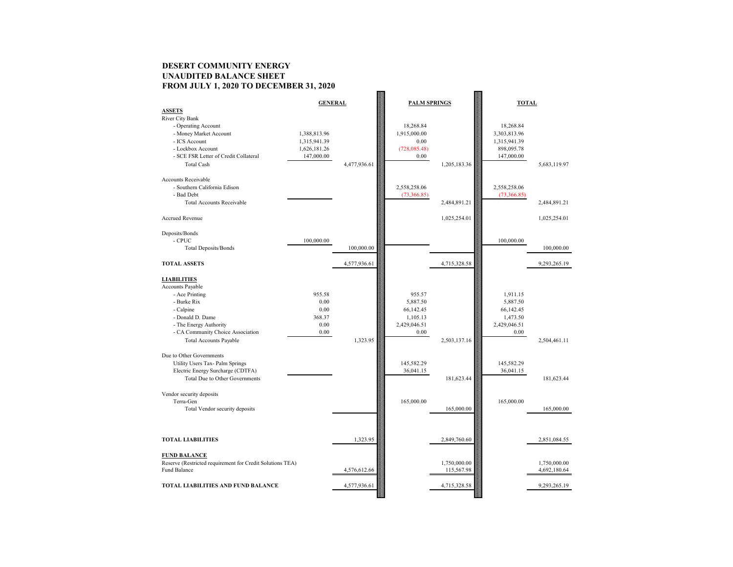# **DESERT COMMUNITY ENERGY UNAUDITED BALANCE SHEET FROM JULY 1, 2020 TO DECEMBER 31, 2020**

|                                                            | <b>GENERAL</b> |              | <b>PALM SPRINGS</b> |              | <b>TOTAL</b> |              |
|------------------------------------------------------------|----------------|--------------|---------------------|--------------|--------------|--------------|
| <b>ASSETS</b>                                              |                |              |                     |              |              |              |
| <b>River City Bank</b>                                     |                |              |                     |              |              |              |
| - Operating Account                                        |                |              | 18,268.84           |              | 18,268.84    |              |
| - Money Market Account                                     | 1,388,813.96   |              | 1,915,000.00        |              | 3,303,813.96 |              |
| - ICS Account                                              | 1,315,941.39   |              | 0.00                |              | 1,315,941.39 |              |
| - Lockbox Account<br>- SCE FSR Letter of Credit Collateral | 1,626,181.26   |              | (728,085.48)        |              | 898,095.78   |              |
|                                                            | 147,000.00     |              | 0.00                |              | 147,000.00   |              |
| <b>Total Cash</b>                                          |                | 4,477,936.61 |                     | 1,205,183.36 |              | 5,683,119.97 |
| <b>Accounts Receivable</b>                                 |                |              |                     |              |              |              |
| - Southern California Edison                               |                |              | 2,558,258.06        |              | 2,558,258.06 |              |
| - Bad Debt                                                 |                |              | (73,366.85)         |              | (73,366.85)  |              |
| <b>Total Accounts Receivable</b>                           |                |              |                     | 2,484,891.21 |              | 2,484,891.21 |
|                                                            |                |              |                     |              |              |              |
| <b>Accrued Revenue</b>                                     |                |              |                     | 1,025,254.01 |              | 1,025,254.01 |
| Deposits/Bonds                                             |                |              |                     |              |              |              |
| - CPUC                                                     | 100,000.00     |              |                     |              | 100,000.00   |              |
| <b>Total Deposits/Bonds</b>                                |                | 100,000.00   |                     |              |              | 100,000.00   |
|                                                            |                |              |                     |              |              |              |
| <b>TOTAL ASSETS</b>                                        |                | 4,577,936.61 |                     | 4,715,328.58 |              | 9,293,265.19 |
| <b>LIABILITIES</b>                                         |                |              |                     |              |              |              |
| Accounts Payable                                           |                |              |                     |              |              |              |
| - Ace Printing                                             | 955.58         |              | 955.57              |              | 1,911.15     |              |
| - Burke Rix                                                | 0.00           |              | 5,887.50            |              | 5,887.50     |              |
| - Calpine                                                  | 0.00           |              | 66,142.45           |              | 66,142.45    |              |
| - Donald D. Dame                                           | 368.37         |              | 1,105.13            |              | 1,473.50     |              |
| - The Energy Authority                                     | $0.00\,$       |              | 2,429,046.51        |              | 2,429,046.51 |              |
| - CA Community Choice Association                          | 0.00           |              | 0.00                |              | 0.00         |              |
| <b>Total Accounts Payable</b>                              |                | 1,323.95     |                     | 2,503,137.16 |              | 2,504,461.11 |
| Due to Other Governments                                   |                |              |                     |              |              |              |
| Utility Users Tax- Palm Springs                            |                |              | 145,582.29          |              | 145,582.29   |              |
| Electric Energy Surcharge (CDTFA)                          |                |              | 36,041.15           |              | 36,041.15    |              |
| <b>Total Due to Other Governments</b>                      |                |              |                     | 181,623.44   |              | 181,623.44   |
|                                                            |                |              |                     |              |              |              |
| Vendor security deposits                                   |                |              |                     |              |              |              |
| Terra-Gen                                                  |                |              | 165,000.00          |              | 165,000.00   |              |
| Total Vendor security deposits                             |                |              |                     | 165,000.00   |              | 165,000.00   |
|                                                            |                |              |                     |              |              |              |
|                                                            |                |              |                     |              |              |              |
|                                                            |                |              |                     |              |              |              |
| <b>TOTAL LIABILITIES</b>                                   |                | 1,323.95     |                     | 2,849,760.60 |              | 2,851,084.55 |
| <b>FUND BALANCE</b>                                        |                |              |                     |              |              |              |
| Reserve (Restricted requirement for Credit Solutions TEA)  |                |              |                     | 1,750,000.00 |              | 1,750,000.00 |
| Fund Balance                                               |                | 4,576,612.66 |                     | 115,567.98   |              | 4,692,180.64 |
| <b>TOTAL LIABILITIES AND FUND BALANCE</b>                  |                | 4,577,936.61 |                     | 4,715,328.58 |              | 9,293,265.19 |
|                                                            |                |              |                     |              |              |              |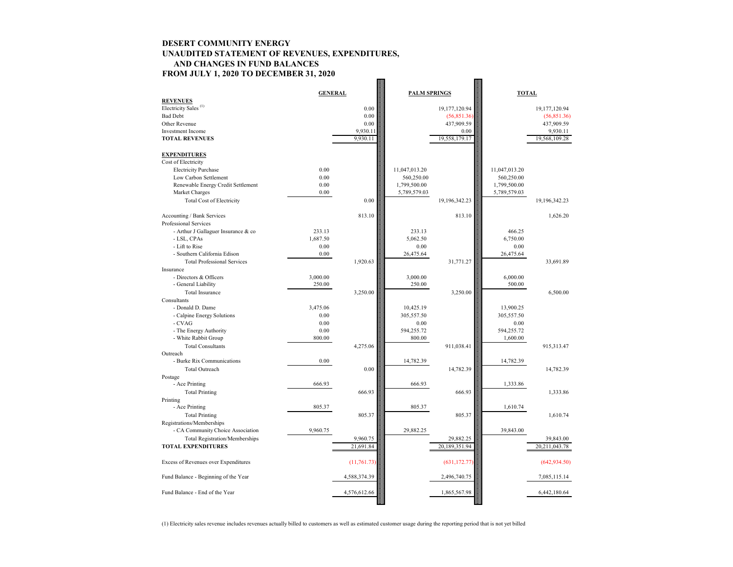## **DESERT COMMUNITY ENERGY UNAUDITED STATEMENT OF REVENUES, EXPENDITURES, AND CHANGES IN FUND BALANCES FROM JULY 1, 2020 TO DECEMBER 31, 2020**

|                                       | <b>GENERAL</b> |              | <b>PALM SPRINGS</b> |               | <b>TOTAL</b>  |                  |
|---------------------------------------|----------------|--------------|---------------------|---------------|---------------|------------------|
| <b>REVENUES</b>                       |                |              |                     |               |               |                  |
| Electricity Sales <sup>(1)</sup>      |                | 0.00         |                     | 19,177,120.94 |               | 19,177,120.94    |
| <b>Bad Debt</b>                       |                | 0.00         |                     | (56,851.36)   |               | (56,851.36)      |
| Other Revenue                         |                | 0.00         |                     | 437,909.59    |               | 437,909.59       |
| <b>Investment Income</b>              |                | 9,930.11     |                     | 0.00          |               | 9,930.11         |
| <b>TOTAL REVENUES</b>                 |                | 9,930.11     |                     | 19,558,179.17 |               | 19,568,109.28    |
| <b>EXPENDITURES</b>                   |                |              |                     |               |               |                  |
| Cost of Electricity                   |                |              |                     |               |               |                  |
| <b>Electricity Purchase</b>           | 0.00           |              | 11,047,013.20       |               | 11,047,013.20 |                  |
| Low Carbon Settlement                 | 0.00           |              | 560,250.00          |               | 560,250.00    |                  |
| Renewable Energy Credit Settlement    | 0.00           |              | 1,799,500.00        |               | 1,799,500.00  |                  |
| Market Charges                        | 0.00           |              | 5,789,579.03        |               | 5,789,579.03  |                  |
| Total Cost of Electricity             |                | 0.00         |                     | 19,196,342.23 |               | 19,196,342.23    |
| Accounting / Bank Services            |                | 813.10       |                     | 813.10        |               | 1,626.20         |
| Professional Services                 |                |              |                     |               |               |                  |
| - Arthur J Gallaguer Insurance & co   | 233.13         |              | 233.13              |               | 466.25        |                  |
| - LSL, CPAs                           | 1,687.50       |              | 5,062.50            |               | 6,750.00      |                  |
| - Lift to Rise                        | 0.00           |              | 0.00                |               | 0.00          |                  |
| - Southern California Edison          | 0.00           |              | 26,475.64           |               | 26,475.64     |                  |
| <b>Total Professional Services</b>    |                | 1,920.63     |                     | 31,771.27     |               | 33,691.89        |
| Insurance                             |                |              |                     |               |               |                  |
| - Directors & Officers                | 3,000.00       |              | 3,000.00            |               | 6,000.00      |                  |
| - General Liability                   | 250.00         |              | 250.00              |               | 500.00        |                  |
| <b>Total Insurance</b>                |                | 3,250.00     |                     | 3,250.00      |               | 6,500.00         |
| Consultants                           |                |              |                     |               |               |                  |
| - Donald D. Dame                      | 3,475.06       |              | 10,425.19           |               | 13,900.25     |                  |
| - Calpine Energy Solutions            | 0.00           |              | 305,557.50          |               | 305,557.50    |                  |
| - CVAG                                | 0.00           |              | 0.00                |               | 0.00          |                  |
| - The Energy Authority                | 0.00           |              | 594,255.72          |               | 594,255.72    |                  |
| - White Rabbit Group                  | 800.00         |              | 800.00              |               | 1,600.00      |                  |
| <b>Total Consultants</b>              |                | 4,275.06     |                     | 911,038.41    |               | 915,313.47       |
| Outreach                              |                |              |                     |               |               |                  |
| - Burke Rix Communications            | 0.00           |              | 14,782.39           |               | 14,782.39     |                  |
| Total Outreach                        |                | 0.00         |                     | 14,782.39     |               | 14,782.39        |
| Postage                               |                |              |                     |               |               |                  |
| - Ace Printing                        | 666.93         |              | 666.93              |               | 1,333.86      |                  |
| <b>Total Printing</b>                 |                | 666.93       |                     | 666.93        |               | 1,333.86         |
| Printing                              |                |              |                     |               |               |                  |
| - Ace Printing                        | 805.37         |              | 805.37              |               | 1,610.74      |                  |
| <b>Total Printing</b>                 |                | 805.37       |                     | 805.37        |               | 1,610.74         |
| Registrations/Memberships             |                |              |                     |               |               |                  |
| - CA Community Choice Association     | 9,960.75       |              | 29,882.25           |               | 39,843.00     |                  |
| <b>Total Registration/Memberships</b> |                | 9,960.75     |                     | 29,882.25     |               | 39,843.00        |
| <b>TOTAL EXPENDITURES</b>             |                | 21,691.84    |                     | 20,189,351.94 |               | 20, 211, 043. 78 |
| Excess of Revenues over Expenditures  |                | (11,761.73)  |                     | (631, 172.77) |               | (642, 934.50)    |
| Fund Balance - Beginning of the Year  |                | 4,588,374.39 |                     | 2,496,740.75  |               | 7,085,115.14     |
| Fund Balance - End of the Year        |                | 4,576,612.66 |                     | 1,865,567.98  |               | 6,442,180.64     |
|                                       |                |              |                     |               |               |                  |

(1) Electricity sales revenue includes revenues actually billed to customers as well as estimated customer usage during the reporting period that is not yet billed